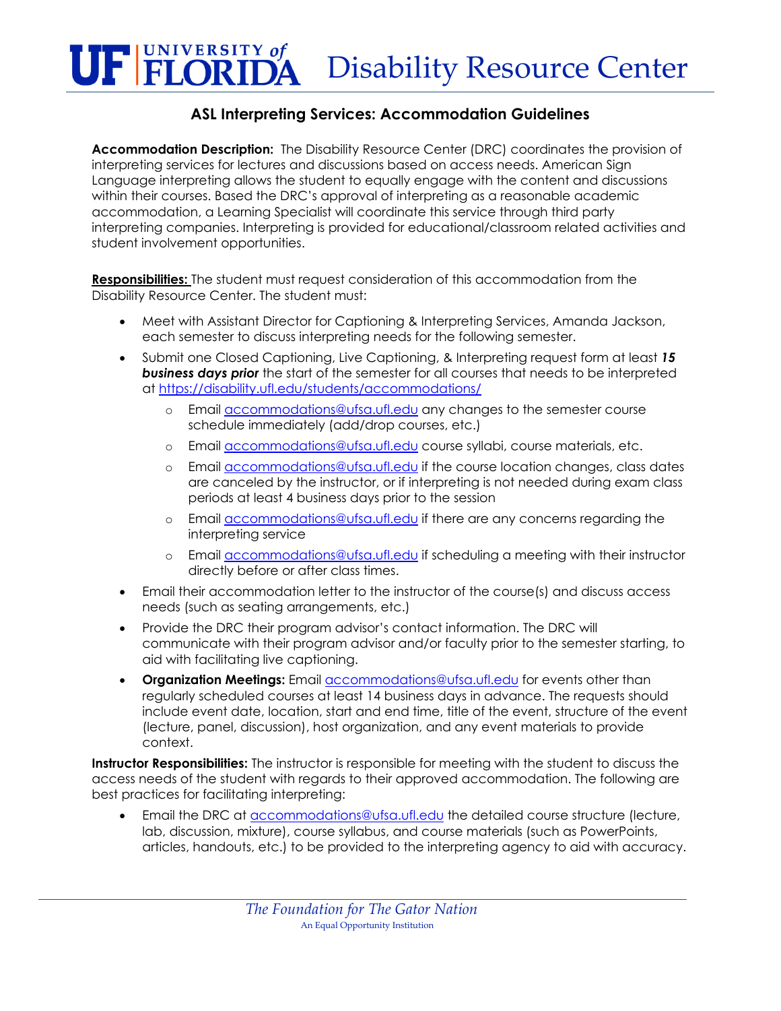## **UF FLORIDA** Disability Resource Center

## **ASL Interpreting Services: Accommodation Guidelines**

**Accommodation Description:** The Disability Resource Center (DRC) coordinates the provision of interpreting services for lectures and discussions based on access needs. American Sign Language interpreting allows the student to equally engage with the content and discussions within their courses. Based the DRC's approval of interpreting as a reasonable academic accommodation, a Learning Specialist will coordinate this service through third party interpreting companies. Interpreting is provided for educational/classroom related activities and student involvement opportunities.

**Responsibilities:** The student must request consideration of this accommodation from the Disability Resource Center. The student must:

- Meet with Assistant Director for Captioning & Interpreting Services, Amanda Jackson, each semester to discuss interpreting needs for the following semester.
- Submit one Closed Captioning, Live Captioning, & Interpreting request form at least *15 business days prior* the start of the semester for all courses that needs to be interpreted at<https://disability.ufl.edu/students/accommodations/>
	- o Email [accommodations@ufsa.ufl.edu](mailto:accommodations@ufsa.ufl.edu) any changes to the semester course schedule immediately (add/drop courses, etc.)
	- o Email [accommodations@ufsa.ufl.edu](mailto:drcatlab@ufsa.ufl.edu) course syllabi, course materials, etc.
	- o Email [accommodations@ufsa.ufl.edu](mailto:drcatlab@ufsa.ufl.edu) if the course location changes, class dates are canceled by the instructor, or if interpreting is not needed during exam class periods at least 4 business days prior to the session
	- o Email [accommodations@ufsa.ufl.edu](mailto:drcatlab@ufsa.ufl.edu) if there are any concerns regarding the interpreting service
	- o Email **accommodations@ufsa.ufl.edu** if scheduling a meeting with their instructor directly before or after class times.
- Email their accommodation letter to the instructor of the course(s) and discuss access needs (such as seating arrangements, etc.)
- Provide the DRC their program advisor's contact information. The DRC will communicate with their program advisor and/or faculty prior to the semester starting, to aid with facilitating live captioning.
- **Organization Meetings:** Emai[l accommodations@ufsa.ufl.edu](mailto:drcatlab@ufsa.ufl.edu) for events other than regularly scheduled courses at least 14 business days in advance. The requests should include event date, location, start and end time, title of the event, structure of the event (lecture, panel, discussion), host organization, and any event materials to provide context.

**Instructor Responsibilities:** The instructor is responsible for meeting with the student to discuss the access needs of the student with regards to their approved accommodation. The following are best practices for facilitating interpreting:

• Email the DRC at [accommodations@ufsa.ufl.edu](mailto:drcatlab@ufsa.ufl.edu) the detailed course structure (lecture, lab, discussion, mixture), course syllabus, and course materials (such as PowerPoints, articles, handouts, etc.) to be provided to the interpreting agency to aid with accuracy.